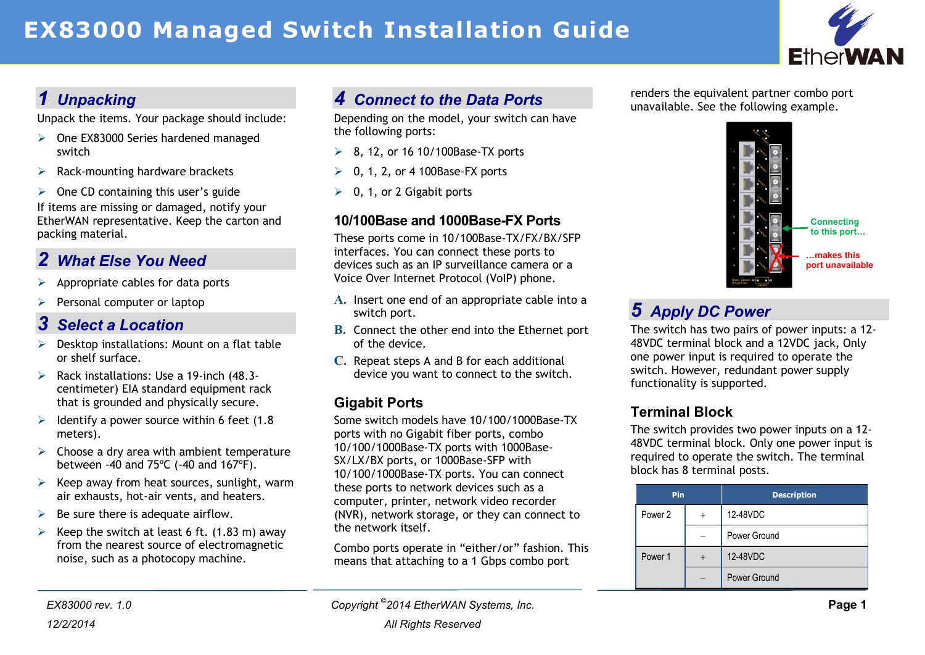# **EX83000 Managed Switch Installation Guide**



# *1 Unpacking*

Unpack the items. Your package should include:

- One EX83000 Series hardened managed switch
- $\triangleright$  Rack-mounting hardware brackets
- $\geq$  One CD containing this user's guide If items are missing or damaged, notify your EtherWAN representative. Keep the carton and packing material.

# *2 What Else You Need*

- Appropriate cables for data ports
- $\triangleright$  Personal computer or laptop

### *3 Select a Location*

- $\triangleright$  Desktop installations: Mount on a flat table or shelf surface.
- $\triangleright$  Rack installations: Use a 19-inch (48.3centimeter) EIA standard equipment rack that is grounded and physically secure.
- $\geq$  Identify a power source within 6 feet (1.8) meters).
- $\triangleright$  Choose a dry area with ambient temperature between -40 and 75ºC (-40 and 167ºF).
- $\triangleright$  Keep away from heat sources, sunlight, warm air exhausts, hot-air vents, and heaters.
- $\triangleright$  Be sure there is adequate airflow.
- $\triangleright$  Keep the switch at least 6 ft. (1.83 m) away from the nearest source of electromagnetic noise, such as a photocopy machine.

# *4 Connect to the Data Ports*

Depending on the model, your switch can have the following ports:

- $\geq$  8, 12, or 16 10/100Base-TX ports
- $\geqslant$  0, 1, 2, or 4 100Base-FX ports
- $\geq 0$ , 1, or 2 Gigabit ports

#### **10/100Base and 1000Base-FX Ports**

These ports come in 10/100Base-TX/FX/BX/SFP interfaces. You can connect these ports to devices such as an IP surveillance camera or a Voice Over Internet Protocol (VoIP) phone.

- **A.** Insert one end of an appropriate cable into a switch port.
- **B.** Connect the other end into the Ethernet port of the device.
- **C.** Repeat steps A and B for each additional device you want to connect to the switch.

### **Gigabit Ports**

Some switch models have 10/100/1000Base-TX ports with no Gigabit fiber ports, combo 10/100/1000Base-TX ports with 1000Base-SX/LX/BX ports, or 1000Base-SFP with 10/100/1000Base-TX ports. You can connect these ports to network devices such as a computer, printer, network video recorder (NVR), network storage, or they can connect to the network itself.

Combo ports operate in "either/or" fashion. This means that attaching to a 1 Gbps combo port

renders the equivalent partner combo port unavailable. See the following example.



# *5 Apply DC Power*

The switch has two pairs of power inputs: a 12- 48VDC terminal block and a 12VDC jack, Only one power input is required to operate the switch. However, redundant power supply functionality is supported.

### **Terminal Block**

The switch provides two power inputs on a 12- 48VDC terminal block. Only one power input is required to operate the switch. The terminal block has 8 terminal posts.

| Pin     | <b>Description</b> |
|---------|--------------------|
| Power 2 | 12-48VDC           |
|         | Power Ground       |
| Power 1 | 12-48VDC           |
|         | Power Ground       |